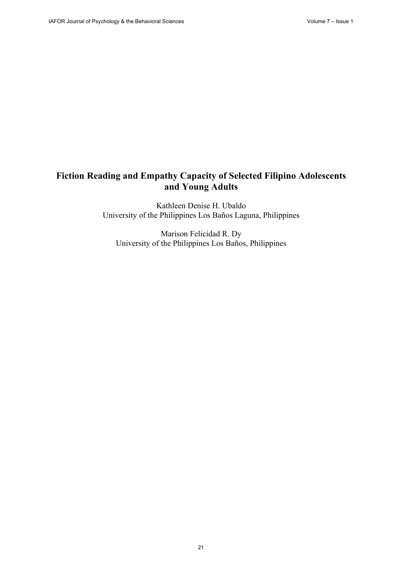# **Fiction Reading and Empathy Capacity of Selected Filipino Adolescents and Young Adults**

Kathleen Denise H. Ubaldo University of the Philippines Los Baños Laguna, Philippines

Marison Felicidad R. Dy University of the Philippines Los Baños, Philippines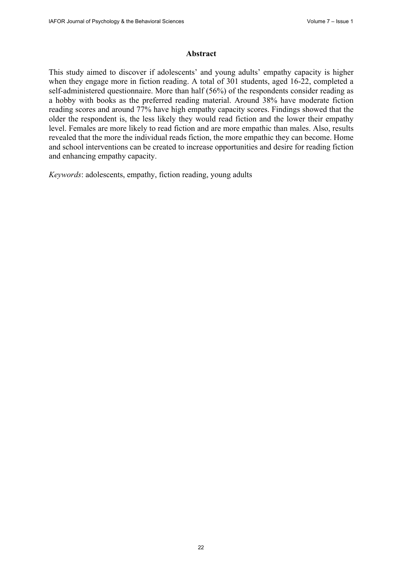#### **Abstract**

This study aimed to discover if adolescents' and young adults' empathy capacity is higher when they engage more in fiction reading. A total of 301 students, aged 16-22, completed a self-administered questionnaire. More than half (56%) of the respondents consider reading as a hobby with books as the preferred reading material. Around 38% have moderate fiction reading scores and around 77% have high empathy capacity scores. Findings showed that the older the respondent is, the less likely they would read fiction and the lower their empathy level. Females are more likely to read fiction and are more empathic than males. Also, results revealed that the more the individual reads fiction, the more empathic they can become. Home and school interventions can be created to increase opportunities and desire for reading fiction and enhancing empathy capacity.

*Keywords*: adolescents, empathy, fiction reading, young adults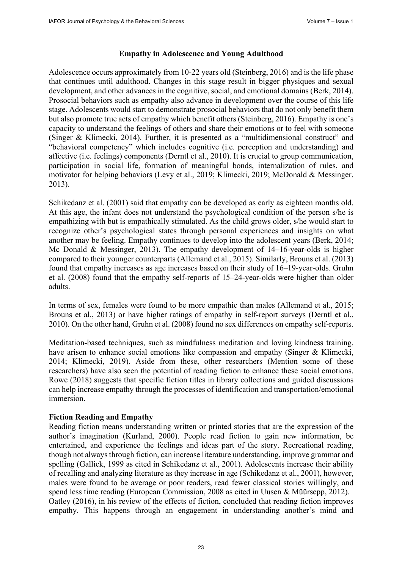## **Empathy in Adolescence and Young Adulthood**

Adolescence occurs approximately from 10-22 years old (Steinberg, 2016) and is the life phase that continues until adulthood. Changes in this stage result in bigger physiques and sexual development, and other advances in the cognitive, social, and emotional domains (Berk, 2014). Prosocial behaviors such as empathy also advance in development over the course of this life stage. Adolescents would start to demonstrate prosocial behaviors that do not only benefit them but also promote true acts of empathy which benefit others (Steinberg, 2016). Empathy is one's capacity to understand the feelings of others and share their emotions or to feel with someone (Singer & Klimecki, 2014). Further, it is presented as a "multidimensional construct" and "behavioral competency" which includes cognitive (i.e. perception and understanding) and affective (i.e. feelings) components (Derntl et al., 2010). It is crucial to group communication, participation in social life, formation of meaningful bonds, internalization of rules, and motivator for helping behaviors (Levy et al., 2019; Klimecki, 2019; McDonald & Messinger, 2013).

Schikedanz et al. (2001) said that empathy can be developed as early as eighteen months old. At this age, the infant does not understand the psychological condition of the person s/he is empathizing with but is empathically stimulated. As the child grows older, s/he would start to recognize other's psychological states through personal experiences and insights on what another may be feeling. Empathy continues to develop into the adolescent years (Berk, 2014; Mc Donald & Messinger, 2013). The empathy development of 14–16-year-olds is higher compared to their younger counterparts (Allemand et al., 2015). Similarly, Brouns et al. (2013) found that empathy increases as age increases based on their study of 16–19-year-olds. Gruhn et al. (2008) found that the empathy self-reports of 15–24-year-olds were higher than older adults.

In terms of sex, females were found to be more empathic than males (Allemand et al., 2015; Brouns et al., 2013) or have higher ratings of empathy in self-report surveys (Derntl et al., 2010). On the other hand, Gruhn et al. (2008) found no sex differences on empathy self-reports.

Meditation-based techniques, such as mindfulness meditation and loving kindness training, have arisen to enhance social emotions like compassion and empathy (Singer & Klimecki, 2014; Klimecki, 2019). Aside from these, other researchers (Mention some of these researchers) have also seen the potential of reading fiction to enhance these social emotions. Rowe (2018) suggests that specific fiction titles in library collections and guided discussions can help increase empathy through the processes of identification and transportation/emotional immersion.

## **Fiction Reading and Empathy**

Reading fiction means understanding written or printed stories that are the expression of the author's imagination (Kurland, 2000). People read fiction to gain new information, be entertained, and experience the feelings and ideas part of the story. Recreational reading, though not always through fiction, can increase literature understanding, improve grammar and spelling (Gallick, 1999 as cited in Schikedanz et al., 2001). Adolescents increase their ability of recalling and analyzing literature as they increase in age (Schikedanz et al., 2001), however, males were found to be average or poor readers, read fewer classical stories willingly, and spend less time reading (European Commission, 2008 as cited in Uusen & Müürsepp, 2012). Oatley (2016), in his review of the effects of fiction, concluded that reading fiction improves empathy. This happens through an engagement in understanding another's mind and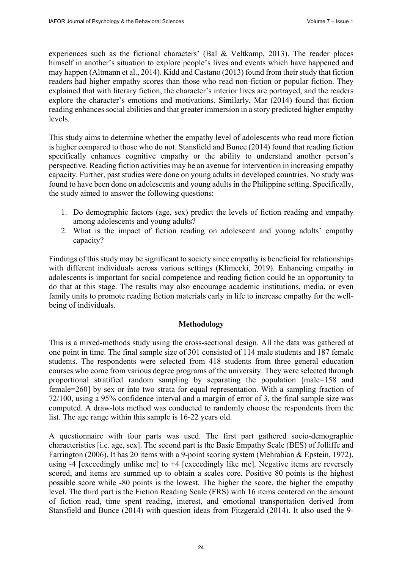experiences such as the fictional characters' (Bal & Veltkamp, 2013). The reader places himself in another's situation to explore people's lives and events which have happened and may happen (Altmann et al., 2014). Kidd and Castano (2013) found from their study that fiction readers had higher empathy scores than those who read non-fiction or popular fiction. They explained that with literary fiction, the character's interior lives are portrayed, and the readers explore the character's emotions and motivations. Similarly, Mar (2014) found that fiction reading enhances social abilities and that greater immersion in a story predicted higher empathy levels.

This study aims to determine whether the empathy level of adolescents who read more fiction is higher compared to those who do not. Stansfield and Bunce (2014) found that reading fiction specifically enhances cognitive empathy or the ability to understand another person's perspective. Reading fiction activities may be an avenue for intervention in increasing empathy capacity. Further, past studies were done on young adults in developed countries. No study was found to have been done on adolescents and young adults in the Philippine setting. Specifically, the study aimed to answer the following questions:

- 1. Do demographic factors (age, sex) predict the levels of fiction reading and empathy among adolescents and young adults?
- 2. What is the impact of fiction reading on adolescent and young adults' empathy capacity?

Findings of this study may be significant to society since empathy is beneficial for relationships with different individuals across various settings (Klimecki, 2019). Enhancing empathy in adolescents is important for social competence and reading fiction could be an opportunity to do that at this stage. The results may also encourage academic institutions, media, or even family units to promote reading fiction materials early in life to increase empathy for the wellbeing of individuals.

## **Methodology**

This is a mixed-methods study using the cross-sectional design. All the data was gathered at one point in time. The final sample size of 301 consisted of 114 male students and 187 female students. The respondents were selected from 418 students from three general education courses who come from various degree programs of the university. They were selected through proportional stratified random sampling by separating the population [male=158 and female=260] by sex or into two strata for equal representation. With a sampling fraction of 72/100, using a 95% confidence interval and a margin of error of 3, the final sample size was computed. A draw-lots method was conducted to randomly choose the respondents from the list. The age range within this sample is 16-22 years old.

A questionnaire with four parts was used. The first part gathered socio-demographic characteristics [i.e. age, sex]. The second part is the Basic Empathy Scale (BES) of Jolliffe and Farrington (2006). It has 20 items with a 9-point scoring system (Mehrabian & Epstein, 1972), using -4 [exceedingly unlike me] to +4 [exceedingly like me]. Negative items are reversely scored, and items are summed up to obtain a scales core. Positive 80 points is the highest possible score while -80 points is the lowest. The higher the score, the higher the empathy level. The third part is the Fiction Reading Scale (FRS) with 16 items centered on the amount of fiction read, time spent reading, interest, and emotional transportation derived from Stansfield and Bunce (2014) with question ideas from Fitzgerald (2014). It also used the 9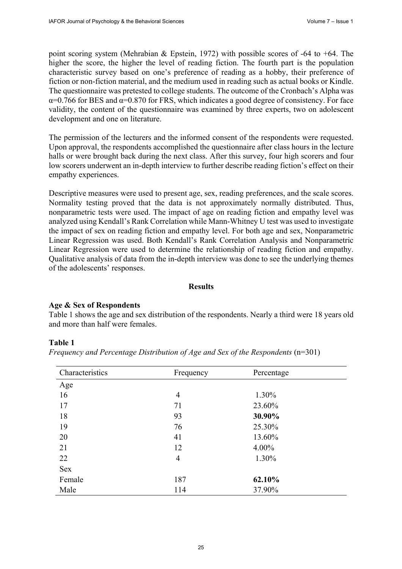point scoring system (Mehrabian & Epstein, 1972) with possible scores of -64 to +64. The higher the score, the higher the level of reading fiction. The fourth part is the population characteristic survey based on one's preference of reading as a hobby, their preference of fiction or non-fiction material, and the medium used in reading such as actual books or Kindle. The questionnaire was pretested to college students. The outcome of the Cronbach's Alpha was  $\alpha$ =0.766 for BES and  $\alpha$ =0.870 for FRS, which indicates a good degree of consistency. For face validity, the content of the questionnaire was examined by three experts, two on adolescent development and one on literature.

The permission of the lecturers and the informed consent of the respondents were requested. Upon approval, the respondents accomplished the questionnaire after class hours in the lecture halls or were brought back during the next class. After this survey, four high scorers and four low scorers underwent an in-depth interview to further describe reading fiction's effect on their empathy experiences.

Descriptive measures were used to present age, sex, reading preferences, and the scale scores. Normality testing proved that the data is not approximately normally distributed. Thus, nonparametric tests were used. The impact of age on reading fiction and empathy level was analyzed using Kendall's Rank Correlation while Mann-Whitney U test was used to investigate the impact of sex on reading fiction and empathy level. For both age and sex, Nonparametric Linear Regression was used. Both Kendall's Rank Correlation Analysis and Nonparametric Linear Regression were used to determine the relationship of reading fiction and empathy. Qualitative analysis of data from the in-depth interview was done to see the underlying themes of the adolescents' responses.

#### **Results**

#### **Age & Sex of Respondents**

Table 1 shows the age and sex distribution of the respondents. Nearly a third were 18 years old and more than half were females.

#### **Table 1**

|  |  | Frequency and Percentage Distribution of Age and Sex of the Respondents $(n=301)$ |  |  |  |  |
|--|--|-----------------------------------------------------------------------------------|--|--|--|--|
|  |  |                                                                                   |  |  |  |  |

| Characteristics | Frequency      | Percentage |  |  |
|-----------------|----------------|------------|--|--|
| Age             |                |            |  |  |
| 16              | $\overline{4}$ | 1.30%      |  |  |
| 17              | 71             | 23.60%     |  |  |
| 18              | 93             | 30.90%     |  |  |
| 19              | 76             | 25.30%     |  |  |
| 20              | 41             | 13.60%     |  |  |
| 21              | 12             | $4.00\%$   |  |  |
| 22              | $\overline{4}$ | 1.30%      |  |  |
| Sex             |                |            |  |  |
| Female          | 187            | 62.10%     |  |  |
| Male            | 114            | 37.90%     |  |  |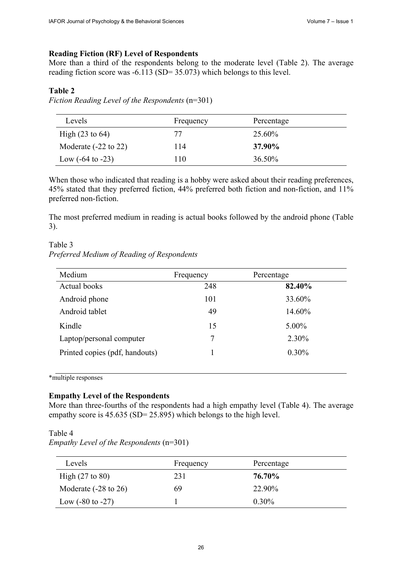## **Reading Fiction (RF) Level of Respondents**

More than a third of the respondents belong to the moderate level (Table 2). The average reading fiction score was -6.113 (SD= 35.073) which belongs to this level.

## **Table 2**

*Fiction Reading Level of the Respondents* (n=301)

| Levels                          | Frequency | Percentage |  |
|---------------------------------|-----------|------------|--|
| High $(23 \text{ to } 64)$      | 77        | 25.60%     |  |
| Moderate $(-22 \text{ to } 22)$ | 114       | 37.90%     |  |
| Low $(-64 \text{ to } -23)$     | l 10      | $36.50\%$  |  |

When those who indicated that reading is a hobby were asked about their reading preferences, 45% stated that they preferred fiction, 44% preferred both fiction and non-fiction, and 11% preferred non-fiction.

The most preferred medium in reading is actual books followed by the android phone (Table 3).

# Table 3 *Preferred Medium of Reading of Respondents*

| Medium                         | Frequency | Percentage |
|--------------------------------|-----------|------------|
| Actual books                   | 248       | 82.40%     |
| Android phone                  | 101       | 33.60%     |
| Android tablet                 | 49        | 14.60%     |
| Kindle                         | 15        | 5.00%      |
| Laptop/personal computer       | 7         | 2.30%      |
| Printed copies (pdf, handouts) |           | $0.30\%$   |

\*multiple responses

## **Empathy Level of the Respondents**

More than three-fourths of the respondents had a high empathy level (Table 4). The average empathy score is 45.635 (SD= 25.895) which belongs to the high level.

#### Table 4

*Empathy Level of the Respondents* (n=301)

| Levels                          | Frequency | Percentage |
|---------------------------------|-----------|------------|
| High $(27 \text{ to } 80)$      | 231       | 76.70%     |
| Moderate $(-28 \text{ to } 26)$ | 69        | 22.90%     |
| Low $(-80 \text{ to } -27)$     |           | $0.30\%$   |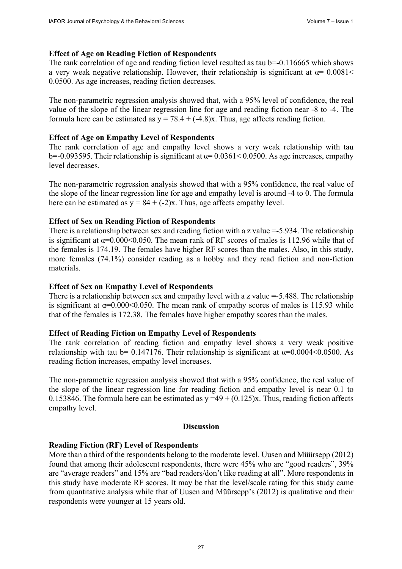## **Effect of Age on Reading Fiction of Respondents**

The rank correlation of age and reading fiction level resulted as tau b=-0.116665 which shows a very weak negative relationship. However, their relationship is significant at  $\alpha$ = 0.0081< 0.0500. As age increases, reading fiction decreases.

The non-parametric regression analysis showed that, with a 95% level of confidence, the real value of the slope of the linear regression line for age and reading fiction near -8 to -4. The formula here can be estimated as  $y = 78.4 + (-4.8)x$ . Thus, age affects reading fiction.

## **Effect of Age on Empathy Level of Respondents**

The rank correlation of age and empathy level shows a very weak relationship with tau b=-0.093595. Their relationship is significant at  $\alpha$ = 0.0361< 0.0500. As age increases, empathy level decreases.

The non-parametric regression analysis showed that with a 95% confidence, the real value of the slope of the linear regression line for age and empathy level is around -4 to 0. The formula here can be estimated as  $y = 84 + (-2)x$ . Thus, age affects empathy level.

## **Effect of Sex on Reading Fiction of Respondents**

There is a relationship between sex and reading fiction with a z value = -5.934. The relationship is significant at  $\alpha$ =0.000<0.050. The mean rank of RF scores of males is 112.96 while that of the females is 174.19. The females have higher RF scores than the males. Also, in this study, more females (74.1%) consider reading as a hobby and they read fiction and non-fiction materials.

## **Effect of Sex on Empathy Level of Respondents**

There is a relationship between sex and empathy level with a z value = -5.488. The relationship is significant at  $\alpha = 0.000 \le 0.050$ . The mean rank of empathy scores of males is 115.93 while that of the females is 172.38. The females have higher empathy scores than the males.

#### **Effect of Reading Fiction on Empathy Level of Respondents**

The rank correlation of reading fiction and empathy level shows a very weak positive relationship with tau b= 0.147176. Their relationship is significant at  $\alpha$ =0.0004<0.0500. As reading fiction increases, empathy level increases.

The non-parametric regression analysis showed that with a 95% confidence, the real value of the slope of the linear regression line for reading fiction and empathy level is near 0.1 to 0.153846. The formula here can be estimated as  $y = 49 + (0.125)x$ . Thus, reading fiction affects empathy level.

## **Discussion**

#### **Reading Fiction (RF) Level of Respondents**

More than a third of the respondents belong to the moderate level. Uusen and Müürsepp (2012) found that among their adolescent respondents, there were 45% who are "good readers", 39% are "average readers" and 15% are "bad readers/don't like reading at all". More respondents in this study have moderate RF scores. It may be that the level/scale rating for this study came from quantitative analysis while that of Uusen and Müürsepp's (2012) is qualitative and their respondents were younger at 15 years old.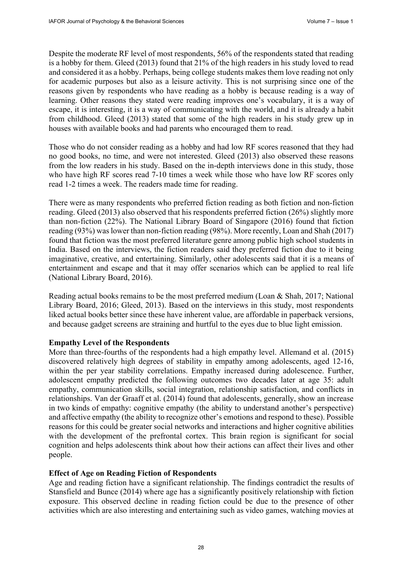Despite the moderate RF level of most respondents, 56% of the respondents stated that reading is a hobby for them. Gleed (2013) found that 21% of the high readers in his study loved to read and considered it as a hobby. Perhaps, being college students makes them love reading not only for academic purposes but also as a leisure activity. This is not surprising since one of the reasons given by respondents who have reading as a hobby is because reading is a way of learning. Other reasons they stated were reading improves one's vocabulary, it is a way of escape, it is interesting, it is a way of communicating with the world, and it is already a habit from childhood. Gleed (2013) stated that some of the high readers in his study grew up in houses with available books and had parents who encouraged them to read.

Those who do not consider reading as a hobby and had low RF scores reasoned that they had no good books, no time, and were not interested. Gleed (2013) also observed these reasons from the low readers in his study. Based on the in-depth interviews done in this study, those who have high RF scores read 7-10 times a week while those who have low RF scores only read 1-2 times a week. The readers made time for reading.

There were as many respondents who preferred fiction reading as both fiction and non-fiction reading. Gleed (2013) also observed that his respondents preferred fiction (26%) slightly more than non-fiction (22%). The National Library Board of Singapore (2016) found that fiction reading (93%) was lower than non-fiction reading (98%). More recently, Loan and Shah (2017) found that fiction was the most preferred literature genre among public high school students in India. Based on the interviews, the fiction readers said they preferred fiction due to it being imaginative, creative, and entertaining. Similarly, other adolescents said that it is a means of entertainment and escape and that it may offer scenarios which can be applied to real life (National Library Board, 2016).

Reading actual books remains to be the most preferred medium (Loan & Shah, 2017; National Library Board, 2016; Gleed, 2013). Based on the interviews in this study, most respondents liked actual books better since these have inherent value, are affordable in paperback versions, and because gadget screens are straining and hurtful to the eyes due to blue light emission.

## **Empathy Level of the Respondents**

More than three-fourths of the respondents had a high empathy level. Allemand et al. (2015) discovered relatively high degrees of stability in empathy among adolescents, aged 12-16, within the per year stability correlations. Empathy increased during adolescence. Further, adolescent empathy predicted the following outcomes two decades later at age 35: adult empathy, communication skills, social integration, relationship satisfaction, and conflicts in relationships. Van der Graaff et al. (2014) found that adolescents, generally, show an increase in two kinds of empathy: cognitive empathy (the ability to understand another's perspective) and affective empathy (the ability to recognize other's emotions and respond to these). Possible reasons for this could be greater social networks and interactions and higher cognitive abilities with the development of the prefrontal cortex. This brain region is significant for social cognition and helps adolescents think about how their actions can affect their lives and other people.

#### **Effect of Age on Reading Fiction of Respondents**

Age and reading fiction have a significant relationship. The findings contradict the results of Stansfield and Bunce (2014) where age has a significantly positively relationship with fiction exposure. This observed decline in reading fiction could be due to the presence of other activities which are also interesting and entertaining such as video games, watching movies at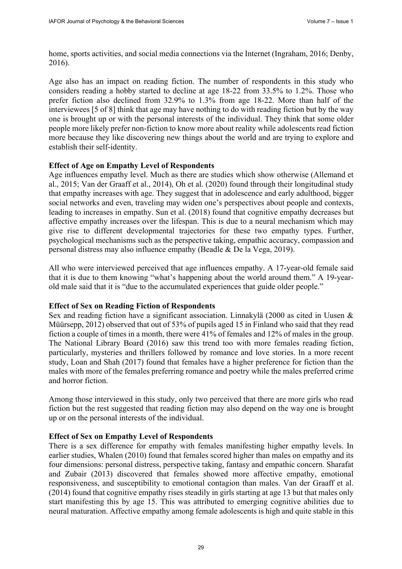home, sports activities, and social media connections via the Internet (Ingraham, 2016; Denby, 2016).

Age also has an impact on reading fiction. The number of respondents in this study who considers reading a hobby started to decline at age 18-22 from 33.5% to 1.2%. Those who prefer fiction also declined from 32.9% to 1.3% from age 18-22. More than half of the interviewees [5 of 8] think that age may have nothing to do with reading fiction but by the way one is brought up or with the personal interests of the individual. They think that some older people more likely prefer non-fiction to know more about reality while adolescents read fiction more because they like discovering new things about the world and are trying to explore and establish their self-identity.

#### **Effect of Age on Empathy Level of Respondents**

Age influences empathy level. Much as there are studies which show otherwise (Allemand et al., 2015; Van der Graaff et al., 2014), Oh et al. (2020) found through their longitudinal study that empathy increases with age. They suggest that in adolescence and early adulthood, bigger social networks and even, traveling may widen one's perspectives about people and contexts, leading to increases in empathy. Sun et al. (2018) found that cognitive empathy decreases but affective empathy increases over the lifespan. This is due to a neural mechanism which may give rise to different developmental trajectories for these two empathy types. Further, psychological mechanisms such as the perspective taking, empathic accuracy, compassion and personal distress may also influence empathy (Beadle & De la Vega, 2019).

All who were interviewed perceived that age influences empathy. A 17-year-old female said that it is due to them knowing "what's happening about the world around them." A 19-yearold male said that it is "due to the accumulated experiences that guide older people."

#### **Effect of Sex on Reading Fiction of Respondents**

Sex and reading fiction have a significant association. Linnakylä (2000 as cited in Uusen & Müürsepp, 2012) observed that out of 53% of pupils aged 15 in Finland who said that they read fiction a couple of times in a month, there were 41% of females and 12% of males in the group. The National Library Board (2016) saw this trend too with more females reading fiction, particularly, mysteries and thrillers followed by romance and love stories. In a more recent study, Loan and Shah (2017) found that females have a higher preference for fiction than the males with more of the females preferring romance and poetry while the males preferred crime and horror fiction.

Among those interviewed in this study, only two perceived that there are more girls who read fiction but the rest suggested that reading fiction may also depend on the way one is brought up or on the personal interests of the individual.

#### **Effect of Sex on Empathy Level of Respondents**

There is a sex difference for empathy with females manifesting higher empathy levels. In earlier studies, Whalen (2010) found that females scored higher than males on empathy and its four dimensions: personal distress, perspective taking, fantasy and empathic concern. Sharafat and Zubair (2013) discovered that females showed more affective empathy, emotional responsiveness, and susceptibility to emotional contagion than males. Van der Graaff et al. (2014) found that cognitive empathy rises steadily in girls starting at age 13 but that males only start manifesting this by age 15. This was attributed to emerging cognitive abilities due to neural maturation. Affective empathy among female adolescents is high and quite stable in this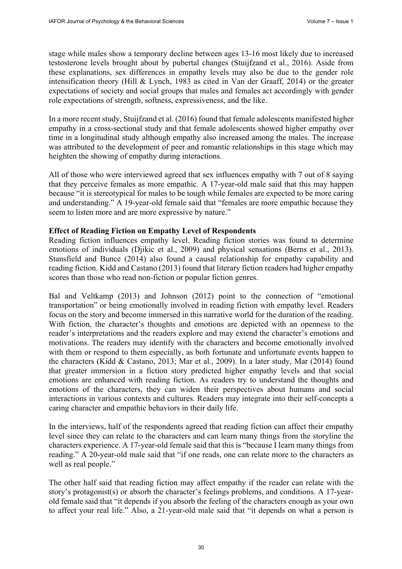stage while males show a temporary decline between ages 13-16 most likely due to increased testosterone levels brought about by pubertal changes (Stuijfzand et al., 2016). Aside from these explanations, sex differences in empathy levels may also be due to the gender role intensification theory (Hill & Lynch, 1983 as cited in Van der Graaff, 2014) or the greater expectations of society and social groups that males and females act accordingly with gender role expectations of strength, softness, expressiveness, and the like.

In a more recent study, Stuijfzand et al. (2016) found that female adolescents manifested higher empathy in a cross-sectional study and that female adolescents showed higher empathy over time in a longitudinal study although empathy also increased among the males. The increase was attributed to the development of peer and romantic relationships in this stage which may heighten the showing of empathy during interactions.

All of those who were interviewed agreed that sex influences empathy with 7 out of 8 saying that they perceive females as more empathic. A 17-year-old male said that this may happen because "it is stereotypical for males to be tough while females are expected to be more caring and understanding." A 19-year-old female said that "females are more empathic because they seem to listen more and are more expressive by nature."

## **Effect of Reading Fiction on Empathy Level of Respondents**

Reading fiction influences empathy level. Reading fiction stories was found to determine emotions of individuals (Djikic et al., 2009) and physical sensations (Berns et al., 2013). Stansfield and Bunce (2014) also found a causal relationship for empathy capability and reading fiction. Kidd and Castano (2013) found that literary fiction readers had higher empathy scores than those who read non-fiction or popular fiction genres.

Bal and Veltkamp (2013) and Johnson (2012) point to the connection of "emotional transportation" or being emotionally involved in reading fiction with empathy level. Readers focus on the story and become immersed in this narrative world for the duration of the reading. With fiction, the character's thoughts and emotions are depicted with an openness to the reader's interpretations and the readers explore and may extend the character's emotions and motivations. The readers may identify with the characters and become emotionally involved with them or respond to them especially, as both fortunate and unfortunate events happen to the characters (Kidd & Castano, 2013; Mar et al., 2009). In a later study, Mar (2014) found that greater immersion in a fiction story predicted higher empathy levels and that social emotions are enhanced with reading fiction. As readers try to understand the thoughts and emotions of the characters, they can widen their perspectives about humans and social interactions in various contexts and cultures. Readers may integrate into their self-concepts a caring character and empathic behaviors in their daily life.

In the interviews, half of the respondents agreed that reading fiction can affect their empathy level since they can relate to the characters and can learn many things from the storyline the characters experience. A 17-year-old female said that this is "because I learn many things from reading." A 20-year-old male said that "if one reads, one can relate more to the characters as well as real people."

The other half said that reading fiction may affect empathy if the reader can relate with the story's protagonist(s) or absorb the character's feelings problems, and conditions. A 17-yearold female said that "it depends if you absorb the feeling of the characters enough as your own to affect your real life." Also, a 21-year-old male said that "it depends on what a person is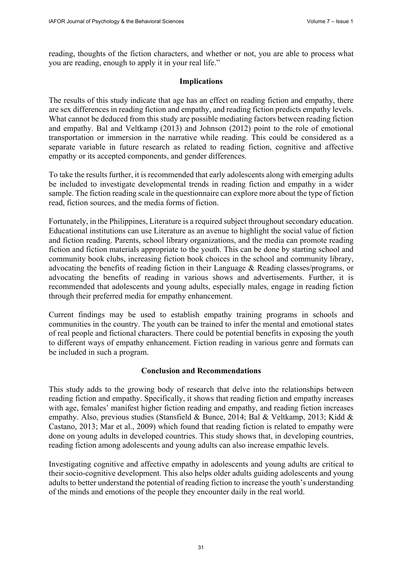reading, thoughts of the fiction characters, and whether or not, you are able to process what you are reading, enough to apply it in your real life."

## **Implications**

The results of this study indicate that age has an effect on reading fiction and empathy, there are sex differences in reading fiction and empathy, and reading fiction predicts empathy levels. What cannot be deduced from this study are possible mediating factors between reading fiction and empathy. Bal and Veltkamp (2013) and Johnson (2012) point to the role of emotional transportation or immersion in the narrative while reading. This could be considered as a separate variable in future research as related to reading fiction, cognitive and affective empathy or its accepted components, and gender differences.

To take the results further, it is recommended that early adolescents along with emerging adults be included to investigate developmental trends in reading fiction and empathy in a wider sample. The fiction reading scale in the questionnaire can explore more about the type of fiction read, fiction sources, and the media forms of fiction.

Fortunately, in the Philippines, Literature is a required subject throughout secondary education. Educational institutions can use Literature as an avenue to highlight the social value of fiction and fiction reading. Parents, school library organizations, and the media can promote reading fiction and fiction materials appropriate to the youth. This can be done by starting school and community book clubs, increasing fiction book choices in the school and community library, advocating the benefits of reading fiction in their Language & Reading classes/programs, or advocating the benefits of reading in various shows and advertisements. Further, it is recommended that adolescents and young adults, especially males, engage in reading fiction through their preferred media for empathy enhancement.

Current findings may be used to establish empathy training programs in schools and communities in the country. The youth can be trained to infer the mental and emotional states of real people and fictional characters. There could be potential benefits in exposing the youth to different ways of empathy enhancement. Fiction reading in various genre and formats can be included in such a program.

## **Conclusion and Recommendations**

This study adds to the growing body of research that delve into the relationships between reading fiction and empathy. Specifically, it shows that reading fiction and empathy increases with age, females' manifest higher fiction reading and empathy, and reading fiction increases empathy. Also, previous studies (Stansfield & Bunce, 2014; Bal & Veltkamp, 2013; Kidd & Castano, 2013; Mar et al., 2009) which found that reading fiction is related to empathy were done on young adults in developed countries. This study shows that, in developing countries, reading fiction among adolescents and young adults can also increase empathic levels.

Investigating cognitive and affective empathy in adolescents and young adults are critical to their socio-cognitive development. This also helps older adults guiding adolescents and young adults to better understand the potential of reading fiction to increase the youth's understanding of the minds and emotions of the people they encounter daily in the real world.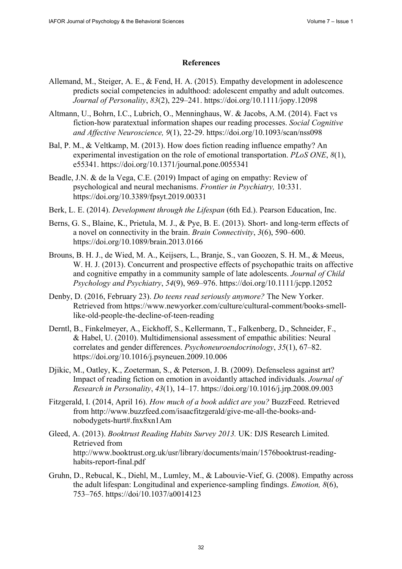#### **References**

- Allemand, M., Steiger, A. E., & Fend, H. A. (2015). Empathy development in adolescence predicts social competencies in adulthood: adolescent empathy and adult outcomes. *Journal of Personality*, *83*(2), 229–241.<https://doi.org/10.1111/jopy.12098>
- Altmann, U., Bohrn, I.C., Lubrich, O., Menninghaus, W. & Jacobs, A.M. (2014). Fact vs fiction-how paratextual information shapes our reading processes. *Social Cognitive and Affective Neuroscience, 9*(1), 22-29. <https://doi.org/10.1093/scan/nss098>
- Bal, P. M., & Veltkamp, M. (2013). How does fiction reading influence empathy? An experimental investigation on the role of emotional transportation. *PLoS ONE*, *8*(1), e55341. <https://doi.org/10.1371/journal.pone.0055341>
- Beadle, J.N. & de la Vega, C.E. (2019) Impact of aging on empathy: Review of psychological and neural mechanisms. *Frontier in Psychiatry,* 10:331. <https://doi.org/10.3389/fpsyt.2019.00331>
- Berk, L. E. (2014). *Development through the Lifespan* (6th Ed.). Pearson Education, Inc.
- Berns, G. S., Blaine, K., Prietula, M. J., & Pye, B. E. (2013). Short- and long-term effects of a novel on connectivity in the brain. *Brain Connectivity*, *3*(6), 590–600. <https://doi.org/10.1089/brain.2013.0166>
- Brouns, B. H. J., de Wied, M. A., Keijsers, L., Branje, S., van Goozen, S. H. M., & Meeus, W. H. J. (2013). Concurrent and prospective effects of psychopathic traits on affective and cognitive empathy in a community sample of late adolescents. *Journal of Child Psychology and Psychiatry*, *54*(9), 969–976. <https://doi.org/10.1111/jcpp.12052>
- Denby, D. (2016, February 23). *Do teens read seriously anymore?* The New Yorker. [Retrieved from https://www.newyorker.com/culture/cultural-comment/books-smell](https://www.newyorker.com/culture/cultural-comment/books-smell-like-old-people-the-decline-of-teen-reading)like[-old-people-the-decline-of-teen-reading](https://www.newyorker.com/culture/cultural-comment/books-smell-like-old-people-the-decline-of-teen-reading)
- Derntl, B., Finkelmeyer, A., Eickhoff, S., Kellermann, T., Falkenberg, D., Schneider, F., & Habel, U. (2010). Multidimensional assessment of empathic abilities: Neural correlates and gender differences. *Psychoneuroendocrinology*, *35*(1), 67–82. <https://doi.org/10.1016/j.psyneuen.2009.10.006>
- Djikic, M., Oatley, K., Zoeterman, S., & Peterson, J. B. (2009). Defenseless against art? Impact of reading fiction on emotion in avoidantly attached individuals. *Journal of Research in Personality*, *43*(1), 14–17. <https://doi.org/10.1016/j.jrp.2008.09.003>
- Fitzgerald, I. (2014, April 16). *How much of a book addict are you?* BuzzFeed. Retrieved [from http://www.buzzfeed.com/isaacfitzgerald/give-me-all-the-books-and](http://www.buzzfeed.com/isaacfitzgerald/give-me-all-the-books-and-nobodygets-hurt#.fnx8xn1Am)nobodygets-[hurt#.fnx8xn1Am](http://www.buzzfeed.com/isaacfitzgerald/give-me-all-the-books-and-nobodygets-hurt#.fnx8xn1Am)
- Gleed, A. (2013). *Booktrust Reading Habits Survey 2013.* UK: DJS Research Limited. Retrieved from [http://www.booktrust.org.uk/usr/library/documents/main/1576booktrust-reading](http://www.booktrust.org.uk/usr/library/documents/main/1576booktrust-reading-habits-report-final.pdf)habits-[report-final.pdf](http://www.booktrust.org.uk/usr/library/documents/main/1576booktrust-reading-habits-report-final.pdf)
- Gruhn, D., Rebucal, K., Diehl, M., Lumley, M., & Labouvie-Vief, G. (2008). Empathy across the adult lifespan: Longitudinal and experience-sampling findings. *Emotion, 8*(6), 753–765.<https://doi/10.1037/a0014123>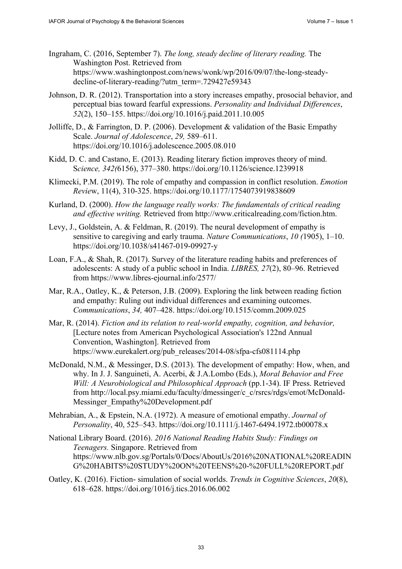- Ingraham, C. (2016, September 7). *The long, steady decline of literary reading.* The Washington Post. Retrieved from [https://www.washingtonpost.com/news/wonk/wp/2016/09/07/the-long-steady](https://www.washingtonpost.com/news/wonk/wp/2016/09/07/the-long-steady-decline-of-literary-reading/?utm_term=.729427e59343)decline-[of-literary-reading/?utm\\_term=.729427e59343](https://www.washingtonpost.com/news/wonk/wp/2016/09/07/the-long-steady-decline-of-literary-reading/?utm_term=.729427e59343)
- Johnson, D. R. (2012). Transportation into a story increases empathy, prosocial behavior, and perceptual bias toward fearful expressions. *Personality and Individual Differences*, *52*(2), 150–155.<https://doi.org/10.1016/j.paid.2011.10.005>
- Jolliffe, D., & Farrington, D. P. (2006). Development & validation of the Basic Empathy Scale. *Journal of Adolescence*, *29,* 589–611. <https://doi.org/10.1016/j.adolescence.2005.08.010>
- Kidd, D. C. and Castano, E. (2013). Reading literary fiction improves theory of mind. S*cience, 342(*6156), 377–380. <https://doi.org/10.1126/science.1239918>
- Klimecki, P.M. (2019). The role of empathy and compassion in conflict resolution. *Emotion Revie*w, 11(4), 310-325. <https://doi.org/10.1177/1754073919838609>
- Kurland, D. (2000). *How the language really works: The fundamentals of critical reading and effective writing.* Retrieved from [http://www.criticalreading.com/fiction.htm.](http://www.criticalreading.com/fiction.htm)
- Levy, J., Goldstein, A. & Feldman, R. (2019). The neural development of empathy is sensitive to caregiving and early trauma. *Nature Communications*, *10 (*1905), 1–10. <https://doi.org/10.1038/s41467-019-09927-y>
- Loan, F.A., & Shah, R. (2017). Survey of the literature reading habits and preferences of adolescents: A study of a public school in India. *LIBRES, 27*(2), 80–96. Retrieved from <https://www.libres-ejournal.info/2577/>
- Mar, R.A., Oatley, K., & Peterson, J.B. (2009). Exploring the link between reading fiction and empathy: Ruling out individual differences and examining outcomes. *Communications*, *34,* 407–428. <https://doi.org/10.1515/comm.2009.025>
- Mar, R. (2014). *Fiction and its relation to real-world empathy, cognition, and behavior,*  [Lecture notes from American Psychological Association's 122nd Annual Convention, Washington]. Retrieved from [https://www.eurekalert.org/pub\\_releases/2014-08/sfpa-cfs081114.php](https://www.eurekalert.org/pub_releases/2014-08/sfpa-cfs081114.php)
- McDonald, N.M., & Messinger, D.S. (2013). The development of empathy: How, when, and why. In J. J. Sanguineti, A. Acerbi, & J.A.Lombo (Eds.), *Moral Behavior and Free Will: A Neurobiological and Philosophical Approach* (pp.1-34). IF Press. Retrieved from [http://local.psy.miami.edu/faculty/dmessinger/c\\_c/rsrcs/rdgs/emot/McDonald-](http://local.psy.miami.edu/faculty/dmessinger/c_c/rsrcs/rdgs/emot/McDonald-Messinger_Empathy%20Development.pdf)[Messinger\\_Empathy%20Development.pdf](http://local.psy.miami.edu/faculty/dmessinger/c_c/rsrcs/rdgs/emot/McDonald-Messinger_Empathy%20Development.pdf)
- Mehrabian, A., & Epstein, N.A. (1972). A measure of emotional empathy. *Journal of Personality*, 40, 525–543. <https://doi.org/10.1111/j.1467-6494.1972.tb00078.x>
- National Library Board. (2016). *2016 National Reading Habits Study: Findings on Teenagers.* Singapore. Retrieved from <https://www.nlb.gov.sg/Portals/0/Docs/AboutUs/2016%20NATIONAL%20READIN> G%20HABITS%20STUDY%20ON%20TEENS%20-%20FULL%20REPORT.pdf
- Oatley, K. (2016). Fiction- simulation of social worlds. *Trends in Cognitive Sciences*, *20*(8), 618–628.<https://doi.org/1016/j.tics.2016.06.002>